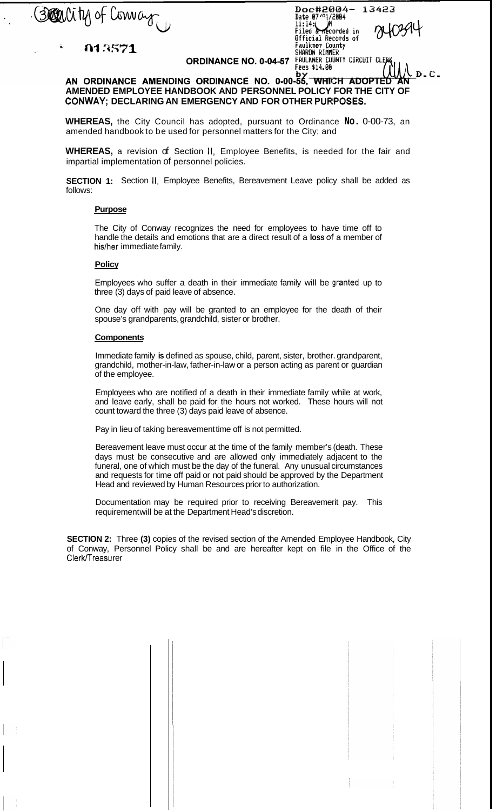Boarlity of Convag

013571

Doc#2004-<br>Date 07/91/2004<br>11:14: Wh<br>Filed & Recorded in<br>Official Records of<br>Faulkner County<br>SMARON RIMER<br>SANARON RIMER 13423 FAULKNER COUNTY CIRCUIT CLE<br>Fees \$14.00

**ORDINANCE NO. 0-04-57** 

## AN ORDINANCE AMENDING ORDINANCE NO. 0-00-55, WHICH ADOPTED  $D - C$ . **AMENDED EMPLOYEE HANDBOOK AND PERSONNEL POLICY FOR THE CITY OF**  CONWAY; DECLARING AN EMERGENCY AND FOR OTHER PURPOSES.

**WHEREAS,** the City Council has adopted, pursuant to Ordinance **No.** 0-00-73, an amended handbook to be used for personnel matters for the City; and

**WHEREAS,** a revision of Section II, Employee Benefits, is needed for the fair and impartial implementation of personnel policies.

**SECTION 1:** Section II, Employee Benefits, Bereavement Leave policy shall be added as follows:

## **Purpose**

The City of Conway recognizes the need for employees to have time off to handle the details and emotions that are a direct result of a **loss** of' a member of his/her immediate family.

## **Policy**

Employees who suffer a death in their immediate family will be granted up to three (3) days of paid leave of absence.

One day off with pay will be granted to an employee for the death of their spouse's grandparents, grandchild, sister or brother.

## **Components**

Immediate family **is** defined as spouse, child, parent, sister, brother. grandparent, grandchild, mother-in-law, father-in-law or a person acting as parent or guardian of the employee.

Employees who are notified of a death in their immediate family while at work, and leave early, shall be paid for the hours not worked. These hours will not count toward the three (3) days paid leave of absence.

Pay in lieu of taking bereavement time off is not permitted.

Bereavement leave must occur at the time of the family member's (death. These days must be consecutive and are allowed only immediately adjacent to the funeral, one of which must be the day of the funeral. Any unusual circumstances and requests for time off paid or not paid should be approved by the Department Head and reviewed by Human Resources prior to authorization.

Documentation may be required prior to receiving Bereavemerit pay. This requirement will be at the Department Head's discretion.

**SECTION 2:** Three **(3)** copies of the revised section of the Amended Employee Handbook, City of Conway, Personnel Policy shall be and are hereafter kept on file in the Office of the Clerk/Treasu rer